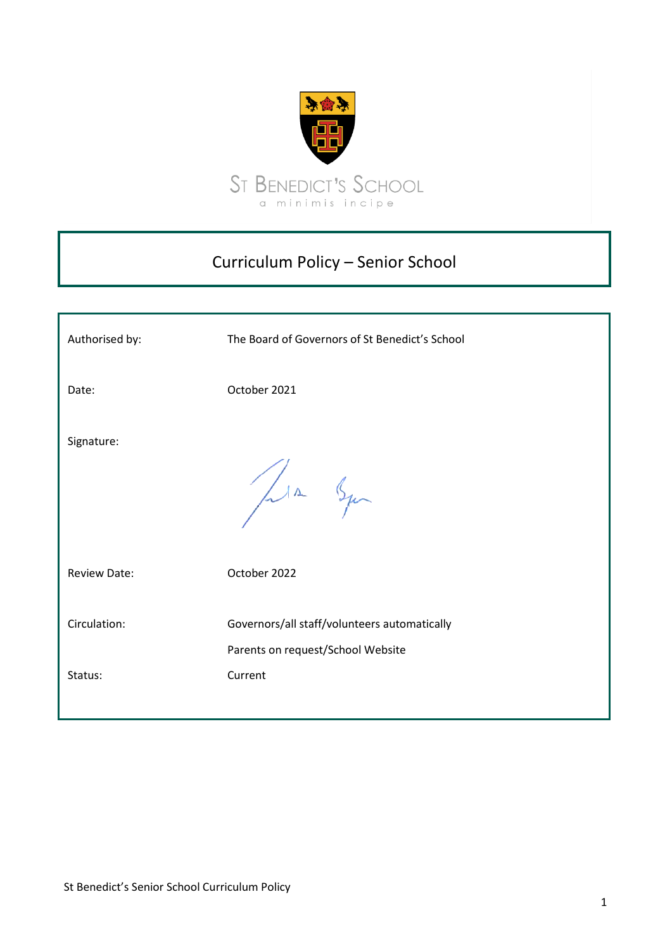

# Curriculum Policy – Senior School

| Authorised by:      | The Board of Governors of St Benedict's School                                    |
|---------------------|-----------------------------------------------------------------------------------|
| Date:               | October 2021                                                                      |
| Signature:          | Lin Squ                                                                           |
| <b>Review Date:</b> | October 2022                                                                      |
| Circulation:        | Governors/all staff/volunteers automatically<br>Parents on request/School Website |
| Status:             | Current                                                                           |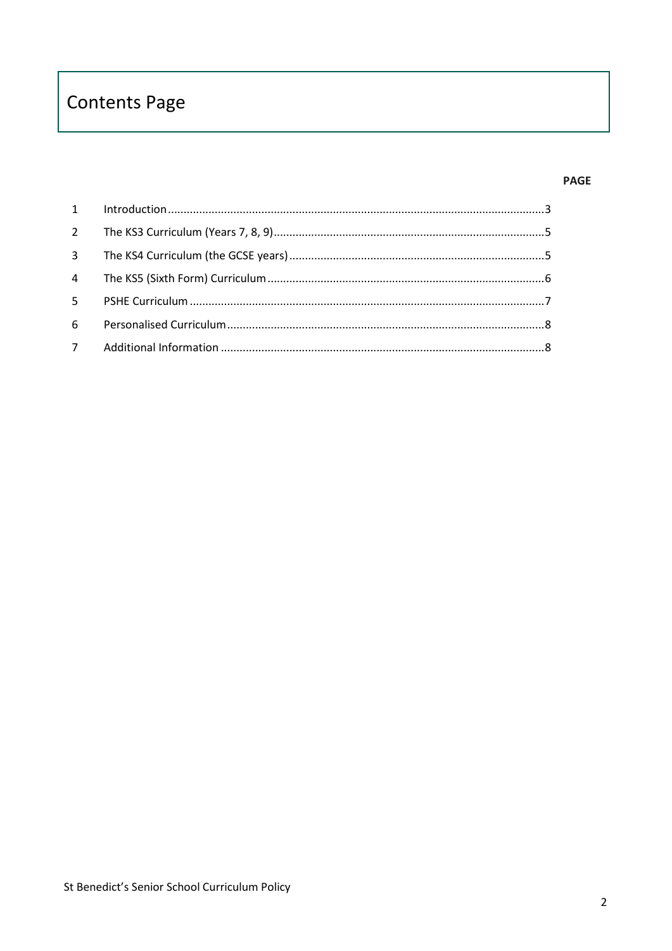# **Contents Page**

## **PAGE**

| $5 -$ |  |
|-------|--|
| 6 -   |  |
|       |  |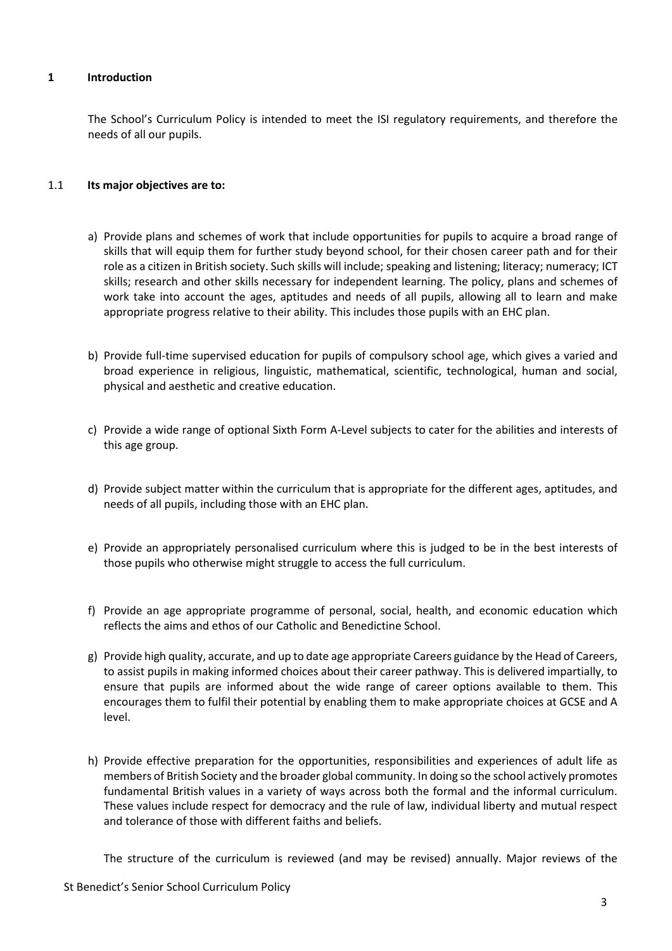## <span id="page-2-0"></span>**1 Introduction**

The School's Curriculum Policy is intended to meet the ISI regulatory requirements, and therefore the needs of all our pupils.

#### 1.1 **Its major objectives are to:**

- a) Provide plans and schemes of work that include opportunities for pupils to acquire a broad range of skills that will equip them for further study beyond school, for their chosen career path and for their role as a citizen in British society. Such skills will include; speaking and listening; literacy; numeracy; ICT skills; research and other skills necessary for independent learning. The policy, plans and schemes of work take into account the ages, aptitudes and needs of all pupils, allowing all to learn and make appropriate progress relative to their ability. This includes those pupils with an EHC plan.
- b) Provide full-time supervised education for pupils of compulsory school age, which gives a varied and broad experience in religious, linguistic, mathematical, scientific, technological, human and social, physical and aesthetic and creative education.
- c) Provide a wide range of optional Sixth Form A-Level subjects to cater for the abilities and interests of this age group.
- d) Provide subject matter within the curriculum that is appropriate for the different ages, aptitudes, and needs of all pupils, including those with an EHC plan.
- e) Provide an appropriately personalised curriculum where this is judged to be in the best interests of those pupils who otherwise might struggle to access the full curriculum.
- f) Provide an age appropriate programme of personal, social, health, and economic education which reflects the aims and ethos of our Catholic and Benedictine School.
- g) Provide high quality, accurate, and up to date age appropriate Careers guidance by the Head of Careers, to assist pupils in making informed choices about their career pathway. This is delivered impartially, to ensure that pupils are informed about the wide range of career options available to them. This encourages them to fulfil their potential by enabling them to make appropriate choices at GCSE and A level.
- h) Provide effective preparation for the opportunities, responsibilities and experiences of adult life as members of British Society and the broader global community. In doing so the school actively promotes fundamental British values in a variety of ways across both the formal and the informal curriculum. These values include respect for democracy and the rule of law, individual liberty and mutual respect and tolerance of those with different faiths and beliefs.

The structure of the curriculum is reviewed (and may be revised) annually. Major reviews of the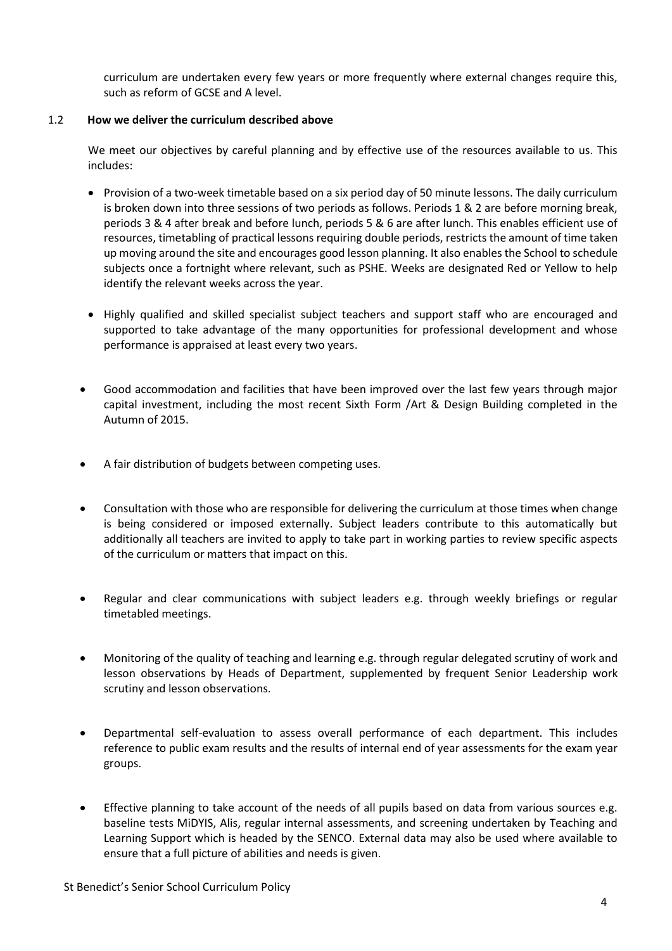curriculum are undertaken every few years or more frequently where external changes require this, such as reform of GCSE and A level.

# 1.2 **How we deliver the curriculum described above**

We meet our objectives by careful planning and by effective use of the resources available to us. This includes:

- Provision of a two-week timetable based on a six period day of 50 minute lessons. The daily curriculum is broken down into three sessions of two periods as follows. Periods 1 & 2 are before morning break, periods 3 & 4 after break and before lunch, periods 5 & 6 are after lunch. This enables efficient use of resources, timetabling of practical lessons requiring double periods, restricts the amount of time taken up moving around the site and encourages good lesson planning. It also enables the School to schedule subjects once a fortnight where relevant, such as PSHE. Weeks are designated Red or Yellow to help identify the relevant weeks across the year.
- Highly qualified and skilled specialist subject teachers and support staff who are encouraged and supported to take advantage of the many opportunities for professional development and whose performance is appraised at least every two years.
- Good accommodation and facilities that have been improved over the last few years through major capital investment, including the most recent Sixth Form /Art & Design Building completed in the Autumn of 2015.
- A fair distribution of budgets between competing uses.
- Consultation with those who are responsible for delivering the curriculum at those times when change is being considered or imposed externally. Subject leaders contribute to this automatically but additionally all teachers are invited to apply to take part in working parties to review specific aspects of the curriculum or matters that impact on this.
- Regular and clear communications with subject leaders e.g. through weekly briefings or regular timetabled meetings.
- Monitoring of the quality of teaching and learning e.g. through regular delegated scrutiny of work and lesson observations by Heads of Department, supplemented by frequent Senior Leadership work scrutiny and lesson observations.
- Departmental self-evaluation to assess overall performance of each department. This includes reference to public exam results and the results of internal end of year assessments for the exam year groups.
- Effective planning to take account of the needs of all pupils based on data from various sources e.g. baseline tests MiDYIS, Alis, regular internal assessments, and screening undertaken by Teaching and Learning Support which is headed by the SENCO. External data may also be used where available to ensure that a full picture of abilities and needs is given.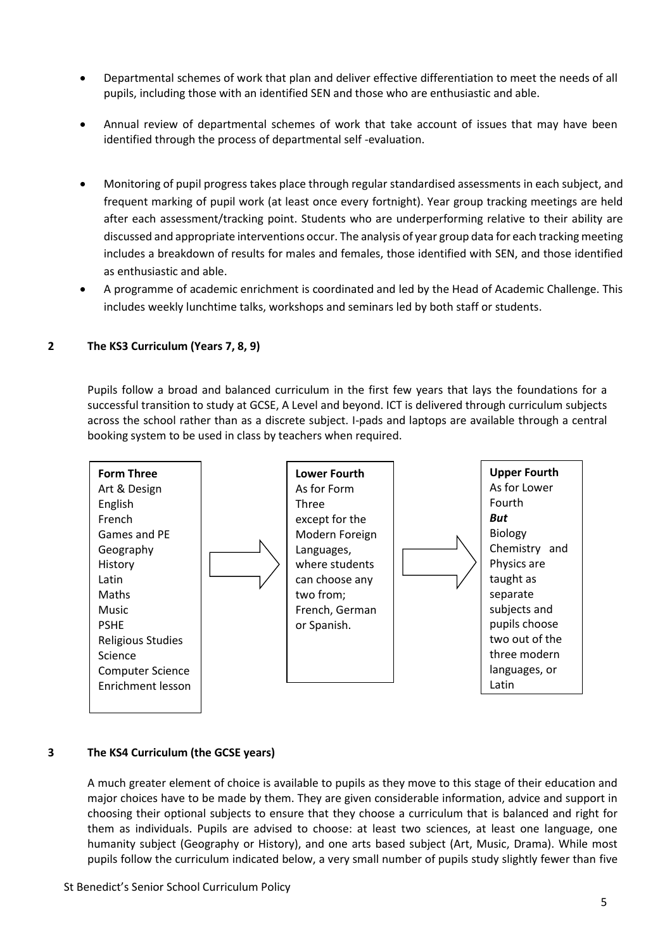- Departmental schemes of work that plan and deliver effective differentiation to meet the needs of all pupils, including those with an identified SEN and those who are enthusiastic and able.
- Annual review of departmental schemes of work that take account of issues that may have been identified through the process of departmental self -evaluation.
- Monitoring of pupil progress takes place through regular standardised assessments in each subject, and frequent marking of pupil work (at least once every fortnight). Year group tracking meetings are held after each assessment/tracking point. Students who are underperforming relative to their ability are discussed and appropriate interventions occur. The analysis of year group data for each tracking meeting includes a breakdown of results for males and females, those identified with SEN, and those identified as enthusiastic and able.
- A programme of academic enrichment is coordinated and led by the Head of Academic Challenge. This includes weekly lunchtime talks, workshops and seminars led by both staff or students.

## <span id="page-4-0"></span>**2 The KS3 Curriculum (Years 7, 8, 9)**

Pupils follow a broad and balanced curriculum in the first few years that lays the foundations for a successful transition to study at GCSE, A Level and beyond. ICT is delivered through curriculum subjects across the school rather than as a discrete subject. I-pads and laptops are available through a central booking system to be used in class by teachers when required.



#### <span id="page-4-1"></span>**3 The KS4 Curriculum (the GCSE years)**

A much greater element of choice is available to pupils as they move to this stage of their education and major choices have to be made by them. They are given considerable information, advice and support in choosing their optional subjects to ensure that they choose a curriculum that is balanced and right for them as individuals. Pupils are advised to choose: at least two sciences, at least one language, one humanity subject (Geography or History), and one arts based subject (Art, Music, Drama). While most pupils follow the curriculum indicated below, a very small number of pupils study slightly fewer than five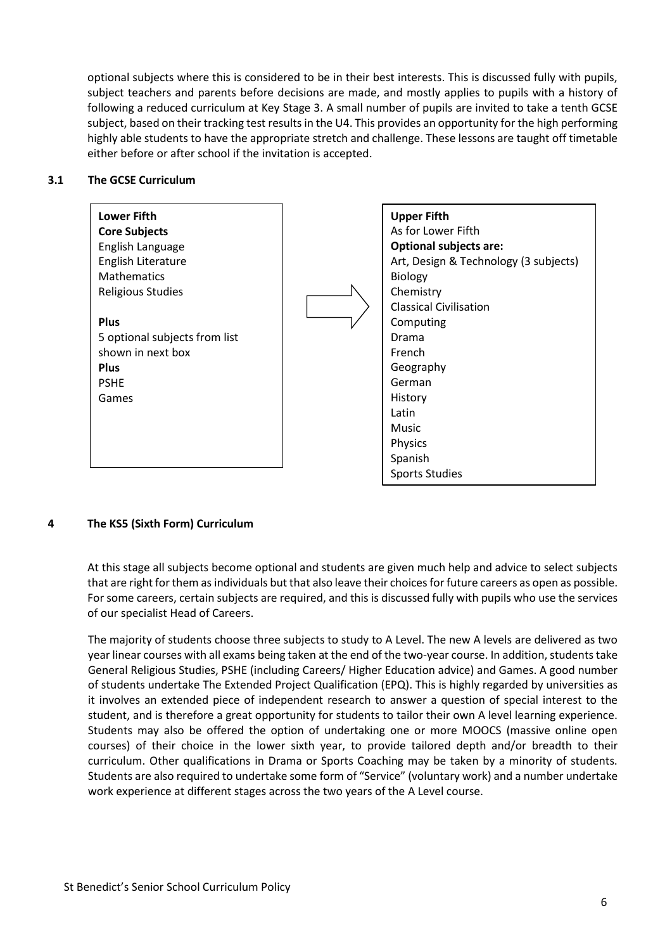optional subjects where this is considered to be in their best interests. This is discussed fully with pupils, subject teachers and parents before decisions are made, and mostly applies to pupils with a history of following a reduced curriculum at Key Stage 3. A small number of pupils are invited to take a tenth GCSE subject, based on their tracking test results in the U4. This provides an opportunity for the high performing highly able students to have the appropriate stretch and challenge. These lessons are taught off timetable either before or after school if the invitation is accepted.

#### **3.1 The GCSE Curriculum**



# <span id="page-5-0"></span>**4 The KS5 (Sixth Form) Curriculum**

At this stage all subjects become optional and students are given much help and advice to select subjects that are right for them as individuals but that also leave their choices for future careers as open as possible. For some careers, certain subjects are required, and this is discussed fully with pupils who use the services of our specialist Head of Careers.

The majority of students choose three subjects to study to A Level. The new A levels are delivered as two year linear courses with all exams being taken at the end of the two-year course. In addition, students take General Religious Studies, PSHE (including Careers/ Higher Education advice) and Games. A good number of students undertake The Extended Project Qualification (EPQ). This is highly regarded by universities as it involves an extended piece of independent research to answer a question of special interest to the student, and is therefore a great opportunity for students to tailor their own A level learning experience. Students may also be offered the option of undertaking one or more MOOCS (massive online open courses) of their choice in the lower sixth year, to provide tailored depth and/or breadth to their curriculum. Other qualifications in Drama or Sports Coaching may be taken by a minority of students. Students are also required to undertake some form of "Service" (voluntary work) and a number undertake work experience at different stages across the two years of the A Level course.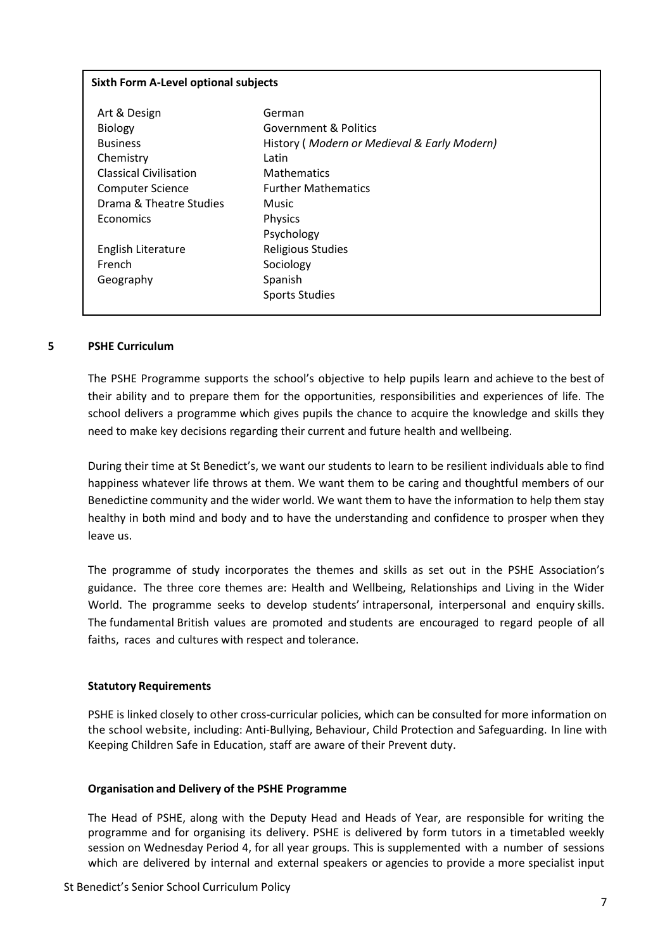#### **Sixth Form A-Level optional subjects**

| Art & Design                  | German                                      |
|-------------------------------|---------------------------------------------|
| <b>Biology</b>                | Government & Politics                       |
| <b>Business</b>               | History (Modern or Medieval & Early Modern) |
| Chemistry                     | Latin                                       |
| <b>Classical Civilisation</b> | <b>Mathematics</b>                          |
| Computer Science              | <b>Further Mathematics</b>                  |
| Drama & Theatre Studies       | Music                                       |
| Economics                     | <b>Physics</b>                              |
|                               | Psychology                                  |
| English Literature            | <b>Religious Studies</b>                    |
| French                        | Sociology                                   |
| Geography                     | Spanish                                     |
|                               | <b>Sports Studies</b>                       |
|                               |                                             |

#### <span id="page-6-0"></span>**5 PSHE Curriculum**

The PSHE Programme supports the school's objective to help pupils learn and achieve to the best of their ability and to prepare them for the opportunities, responsibilities and experiences of life. The school delivers a programme which gives pupils the chance to acquire the knowledge and skills they need to make key decisions regarding their current and future health and wellbeing.

During their time at St Benedict's, we want our students to learn to be resilient individuals able to find happiness whatever life throws at them. We want them to be caring and thoughtful members of our Benedictine community and the wider world. We want them to have the information to help them stay healthy in both mind and body and to have the understanding and confidence to prosper when they leave us.

The programme of study incorporates the themes and skills as set out in the PSHE Association's guidance. The three core themes are: Health and Wellbeing, Relationships and Living in the Wider World. The programme seeks to develop students' intrapersonal, interpersonal and enquiry skills. The fundamental British values are promoted and students are encouraged to regard people of all faiths, races and cultures with respect and tolerance.

#### **Statutory Requirements**

PSHE is linked closely to other cross-curricular policies, which can be consulted for more information on the school website, including: Anti-Bullying, Behaviour, Child Protection and Safeguarding. In line with Keeping Children Safe in Education, staff are aware of their Prevent duty.

#### **Organisation and Delivery of the PSHE Programme**

The Head of PSHE, along with the Deputy Head and Heads of Year, are responsible for writing the programme and for organising its delivery. PSHE is delivered by form tutors in a timetabled weekly session on Wednesday Period 4, for all year groups. This is supplemented with a number of sessions which are delivered by internal and external speakers or agencies to provide a more specialist input